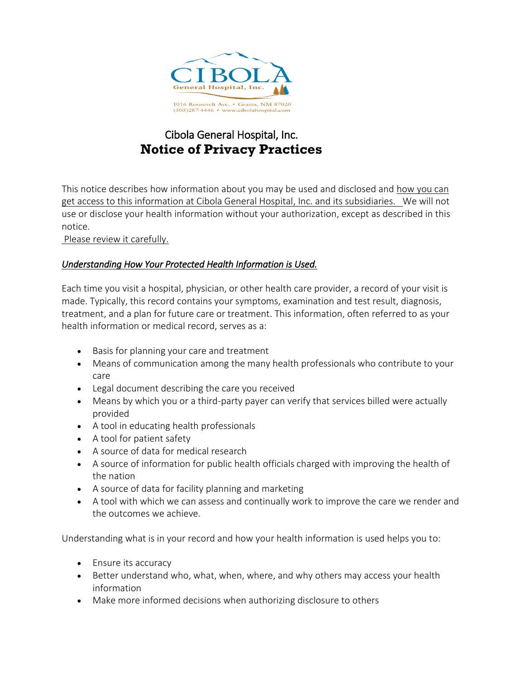

# Cibola General Hospital, Inc. **Notice of Privacy Practices**

This notice describes how information about you may be used and disclosed and how you can get access to this information at Cibola General Hospital, Inc. and its subsidiaries. We will not use or disclose your health information without your authorization, except as described in this notice.

Please review it carefully.

#### *Understanding How Your Protected Health Information is Used.*

Each time you visit a hospital, physician, or other health care provider, a record of your visit is made. Typically, this record contains your symptoms, examination and test result, diagnosis, treatment, and a plan for future care or treatment. This information, often referred to as your health information or medical record, serves as a:

- Basis for planning your care and treatment
- Means of communication among the many health professionals who contribute to your care
- Legal document describing the care you received
- Means by which you or a third-party payer can verify that services billed were actually provided
- A tool in educating health professionals
- A tool for patient safety
- A source of data for medical research
- A source of information for public health officials charged with improving the health of the nation
- A source of data for facility planning and marketing
- A tool with which we can assess and continually work to improve the care we render and the outcomes we achieve.

Understanding what is in your record and how your health information is used helps you to:

- Ensure its accuracy
- Better understand who, what, when, where, and why others may access your health information
- Make more informed decisions when authorizing disclosure to others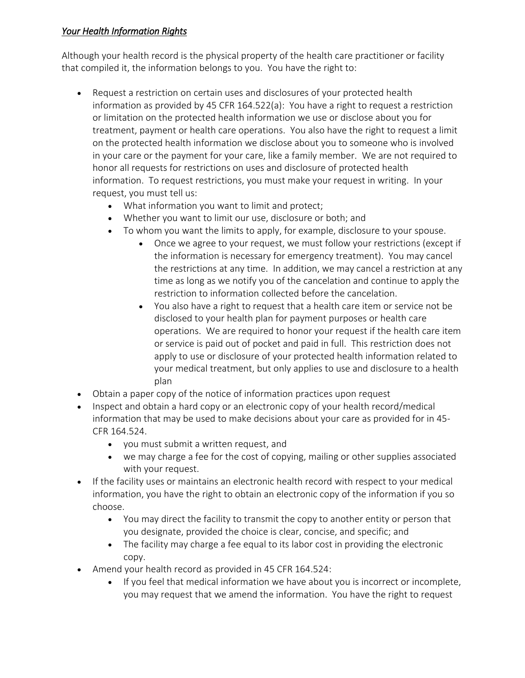#### *Your Health Information Rights*

Although your health record is the physical property of the health care practitioner or facility that compiled it, the information belongs to you. You have the right to:

- Request a restriction on certain uses and disclosures of your protected health information as provided by 45 CFR 164.522(a): You have a right to request a restriction or limitation on the protected health information we use or disclose about you for treatment, payment or health care operations. You also have the right to request a limit on the protected health information we disclose about you to someone who is involved in your care or the payment for your care, like a family member. We are not required to honor all requests for restrictions on uses and disclosure of protected health information. To request restrictions, you must make your request in writing. In your request, you must tell us:
	- What information you want to limit and protect;
	- Whether you want to limit our use, disclosure or both; and
	- To whom you want the limits to apply, for example, disclosure to your spouse.
		- Once we agree to your request, we must follow your restrictions (except if the information is necessary for emergency treatment). You may cancel the restrictions at any time. In addition, we may cancel a restriction at any time as long as we notify you of the cancelation and continue to apply the restriction to information collected before the cancelation.
		- You also have a right to request that a health care item or service not be disclosed to your health plan for payment purposes or health care operations. We are required to honor your request if the health care item or service is paid out of pocket and paid in full. This restriction does not apply to use or disclosure of your protected health information related to your medical treatment, but only applies to use and disclosure to a health plan
- Obtain a paper copy of the notice of information practices upon request
- Inspect and obtain a hard copy or an electronic copy of your health record/medical information that may be used to make decisions about your care as provided for in 45- CFR 164.524.
	- you must submit a written request, and
	- we may charge a fee for the cost of copying, mailing or other supplies associated with your request.
- If the facility uses or maintains an electronic health record with respect to your medical information, you have the right to obtain an electronic copy of the information if you so choose.
	- You may direct the facility to transmit the copy to another entity or person that you designate, provided the choice is clear, concise, and specific; and
	- The facility may charge a fee equal to its labor cost in providing the electronic copy.
- Amend your health record as provided in 45 CFR 164.524:
	- If you feel that medical information we have about you is incorrect or incomplete, you may request that we amend the information. You have the right to request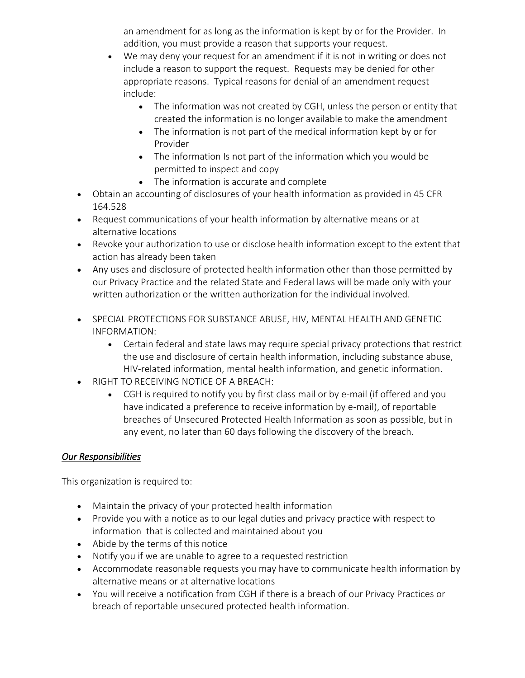an amendment for as long as the information is kept by or for the Provider. In addition, you must provide a reason that supports your request.

- We may deny your request for an amendment if it is not in writing or does not include a reason to support the request. Requests may be denied for other appropriate reasons. Typical reasons for denial of an amendment request include:
	- The information was not created by CGH, unless the person or entity that created the information is no longer available to make the amendment
	- The information is not part of the medical information kept by or for Provider
	- The information Is not part of the information which you would be permitted to inspect and copy
	- The information is accurate and complete
- Obtain an accounting of disclosures of your health information as provided in 45 CFR 164.528
- Request communications of your health information by alternative means or at alternative locations
- Revoke your authorization to use or disclose health information except to the extent that action has already been taken
- Any uses and disclosure of protected health information other than those permitted by our Privacy Practice and the related State and Federal laws will be made only with your written authorization or the written authorization for the individual involved.
- SPECIAL PROTECTIONS FOR SUBSTANCE ABUSE, HIV, MENTAL HEALTH AND GENETIC INFORMATION:
	- Certain federal and state laws may require special privacy protections that restrict the use and disclosure of certain health information, including substance abuse, HIV-related information, mental health information, and genetic information.
- RIGHT TO RECEIVING NOTICE OF A BREACH:
	- CGH is required to notify you by first class mail or by e-mail (if offered and you have indicated a preference to receive information by e-mail), of reportable breaches of Unsecured Protected Health Information as soon as possible, but in any event, no later than 60 days following the discovery of the breach.

## *Our Responsibilities*

This organization is required to:

- Maintain the privacy of your protected health information
- Provide you with a notice as to our legal duties and privacy practice with respect to information that is collected and maintained about you
- Abide by the terms of this notice
- Notify you if we are unable to agree to a requested restriction
- Accommodate reasonable requests you may have to communicate health information by alternative means or at alternative locations
- You will receive a notification from CGH if there is a breach of our Privacy Practices or breach of reportable unsecured protected health information.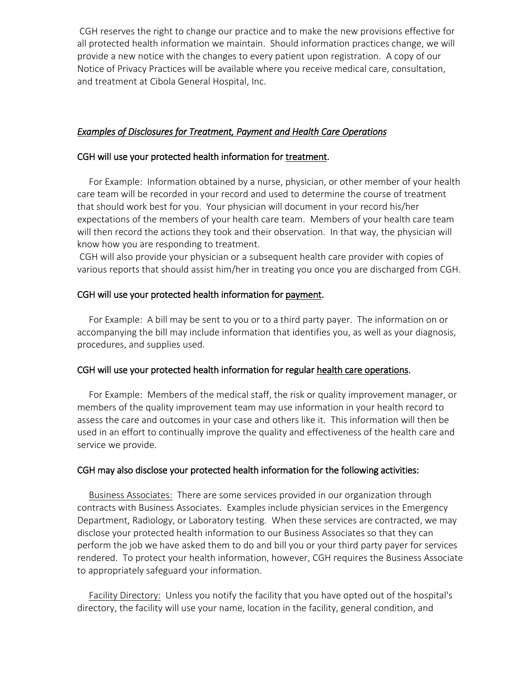CGH reserves the right to change our practice and to make the new provisions effective for all protected health information we maintain. Should information practices change, we will provide a new notice with the changes to every patient upon registration. A copy of our Notice of Privacy Practices will be available where you receive medical care, consultation, and treatment at Cibola General Hospital, Inc.

#### *Examples of Disclosures for Treatment, Payment and Health Care Operations*

#### CGH will use your protected health information for treatment.

 For Example: Information obtained by a nurse, physician, or other member of your health care team will be recorded in your record and used to determine the course of treatment that should work best for you. Your physician will document in your record his/her expectations of the members of your health care team. Members of your health care team will then record the actions they took and their observation. In that way, the physician will know how you are responding to treatment.

CGH will also provide your physician or a subsequent health care provider with copies of various reports that should assist him/her in treating you once you are discharged from CGH.

#### CGH will use your protected health information for payment.

 For Example: A bill may be sent to you or to a third party payer. The information on or accompanying the bill may include information that identifies you, as well as your diagnosis, procedures, and supplies used.

#### CGH will use your protected health information for regular health care operations.

 For Example: Members of the medical staff, the risk or quality improvement manager, or members of the quality improvement team may use information in your health record to assess the care and outcomes in your case and others like it. This information will then be used in an effort to continually improve the quality and effectiveness of the health care and service we provide.

#### CGH may also disclose your protected health information for the following activities:

 Business Associates: There are some services provided in our organization through contracts with Business Associates. Examples include physician services in the Emergency Department, Radiology, or Laboratory testing. When these services are contracted, we may disclose your protected health information to our Business Associates so that they can perform the job we have asked them to do and bill you or your third party payer for services rendered. To protect your health information, however, CGH requires the Business Associate to appropriately safeguard your information.

 Facility Directory: Unless you notify the facility that you have opted out of the hospital's directory, the facility will use your name, location in the facility, general condition, and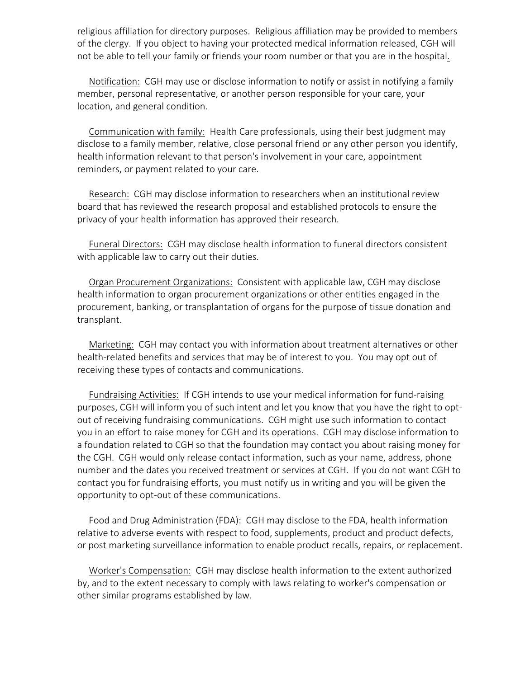religious affiliation for directory purposes. Religious affiliation may be provided to members of the clergy. If you object to having your protected medical information released, CGH will not be able to tell your family or friends your room number or that you are in the hospital.

 Notification: CGH may use or disclose information to notify or assist in notifying a family member, personal representative, or another person responsible for your care, your location, and general condition.

 Communication with family: Health Care professionals, using their best judgment may disclose to a family member, relative, close personal friend or any other person you identify, health information relevant to that person's involvement in your care, appointment reminders, or payment related to your care.

 Research: CGH may disclose information to researchers when an institutional review board that has reviewed the research proposal and established protocols to ensure the privacy of your health information has approved their research.

 Funeral Directors: CGH may disclose health information to funeral directors consistent with applicable law to carry out their duties.

 Organ Procurement Organizations: Consistent with applicable law, CGH may disclose health information to organ procurement organizations or other entities engaged in the procurement, banking, or transplantation of organs for the purpose of tissue donation and transplant.

 Marketing: CGH may contact you with information about treatment alternatives or other health-related benefits and services that may be of interest to you. You may opt out of receiving these types of contacts and communications.

 Fundraising Activities: If CGH intends to use your medical information for fund-raising purposes, CGH will inform you of such intent and let you know that you have the right to optout of receiving fundraising communications. CGH might use such information to contact you in an effort to raise money for CGH and its operations. CGH may disclose information to a foundation related to CGH so that the foundation may contact you about raising money for the CGH. CGH would only release contact information, such as your name, address, phone number and the dates you received treatment or services at CGH. If you do not want CGH to contact you for fundraising efforts, you must notify us in writing and you will be given the opportunity to opt-out of these communications.

 Food and Drug Administration (FDA): CGH may disclose to the FDA, health information relative to adverse events with respect to food, supplements, product and product defects, or post marketing surveillance information to enable product recalls, repairs, or replacement.

 Worker's Compensation: CGH may disclose health information to the extent authorized by, and to the extent necessary to comply with laws relating to worker's compensation or other similar programs established by law.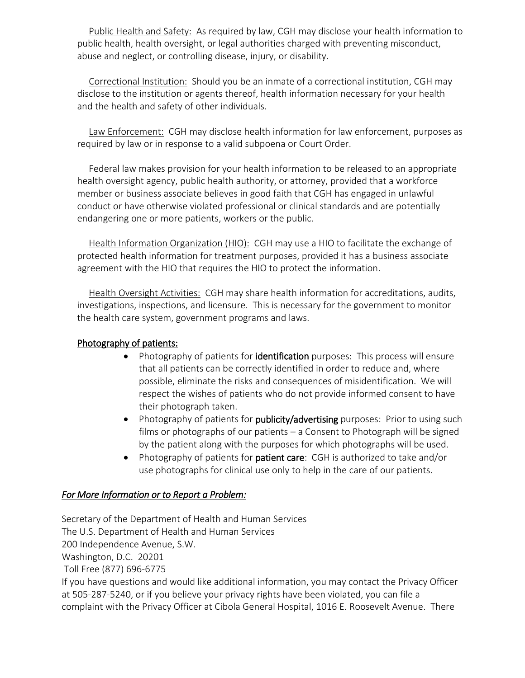Public Health and Safety: As required by law, CGH may disclose your health information to public health, health oversight, or legal authorities charged with preventing misconduct, abuse and neglect, or controlling disease, injury, or disability.

 Correctional Institution: Should you be an inmate of a correctional institution, CGH may disclose to the institution or agents thereof, health information necessary for your health and the health and safety of other individuals.

 Law Enforcement: CGH may disclose health information for law enforcement, purposes as required by law or in response to a valid subpoena or Court Order.

 Federal law makes provision for your health information to be released to an appropriate health oversight agency, public health authority, or attorney, provided that a workforce member or business associate believes in good faith that CGH has engaged in unlawful conduct or have otherwise violated professional or clinical standards and are potentially endangering one or more patients, workers or the public.

Health Information Organization (HIO): CGH may use a HIO to facilitate the exchange of protected health information for treatment purposes, provided it has a business associate agreement with the HIO that requires the HIO to protect the information.

 Health Oversight Activities: CGH may share health information for accreditations, audits, investigations, inspections, and licensure. This is necessary for the government to monitor the health care system, government programs and laws.

### Photography of patients:

- Photography of patients for identification purposes: This process will ensure that all patients can be correctly identified in order to reduce and, where possible, eliminate the risks and consequences of misidentification. We will respect the wishes of patients who do not provide informed consent to have their photograph taken.
- Photography of patients for publicity/advertising purposes: Prior to using such films or photographs of our patients – a Consent to Photograph will be signed by the patient along with the purposes for which photographs will be used.
- Photography of patients for **patient care**: CGH is authorized to take and/or use photographs for clinical use only to help in the care of our patients.

#### *For More Information or to Report a Problem:*

Secretary of the Department of Health and Human Services The U.S. Department of Health and Human Services 200 Independence Avenue, S.W. Washington, D.C. 20201 Toll Free (877) 696-6775 If you have questions and would like additional information, you may contact the Privacy Officer at 505-287-5240, or if you believe your privacy rights have been violated, you can file a complaint with the Privacy Officer at Cibola General Hospital, 1016 E. Roosevelt Avenue. There